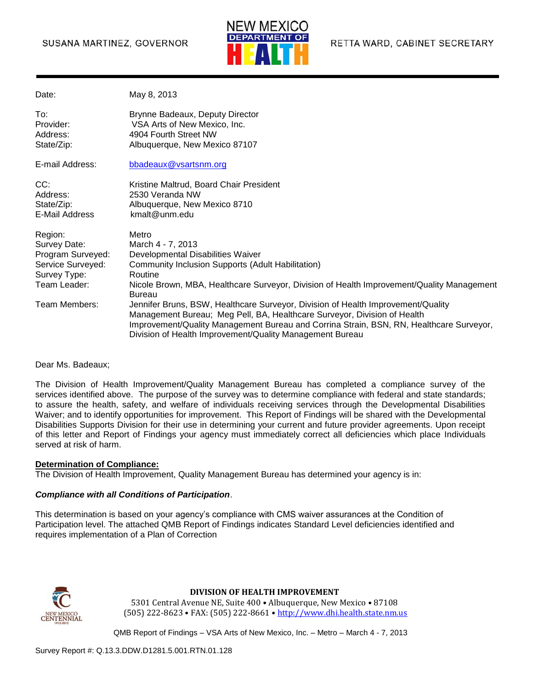#### SUSANA MARTINEZ, GOVERNOR



| Date:                                                                                                              | May 8, 2013                                                                                                                                                                                                                                                                                                                                                                                                                                                                                                                                                          |
|--------------------------------------------------------------------------------------------------------------------|----------------------------------------------------------------------------------------------------------------------------------------------------------------------------------------------------------------------------------------------------------------------------------------------------------------------------------------------------------------------------------------------------------------------------------------------------------------------------------------------------------------------------------------------------------------------|
| To:<br>Provider:<br>Address:<br>State/Zip:                                                                         | Brynne Badeaux, Deputy Director<br>VSA Arts of New Mexico, Inc.<br>4904 Fourth Street NW<br>Albuquerque, New Mexico 87107                                                                                                                                                                                                                                                                                                                                                                                                                                            |
| E-mail Address:                                                                                                    | bbadeaux@vsartsnm.org                                                                                                                                                                                                                                                                                                                                                                                                                                                                                                                                                |
| CC:<br>Address:<br>State/Zip:<br>E-Mail Address                                                                    | Kristine Maltrud, Board Chair President<br>2530 Veranda NW<br>Albuquerque, New Mexico 8710<br>kmalt@unm.edu                                                                                                                                                                                                                                                                                                                                                                                                                                                          |
| Region:<br>Survey Date:<br>Program Surveyed:<br>Service Surveyed:<br>Survey Type:<br>Team Leader:<br>Team Members: | Metro<br>March 4 - 7, 2013<br>Developmental Disabilities Waiver<br>Community Inclusion Supports (Adult Habilitation)<br>Routine<br>Nicole Brown, MBA, Healthcare Surveyor, Division of Health Improvement/Quality Management<br><b>Bureau</b><br>Jennifer Bruns, BSW, Healthcare Surveyor, Division of Health Improvement/Quality<br>Management Bureau; Meg Pell, BA, Healthcare Surveyor, Division of Health<br>Improvement/Quality Management Bureau and Corrina Strain, BSN, RN, Healthcare Surveyor,<br>Division of Health Improvement/Quality Management Bureau |

Dear Ms. Badeaux;

The Division of Health Improvement/Quality Management Bureau has completed a compliance survey of the services identified above. The purpose of the survey was to determine compliance with federal and state standards; to assure the health, safety, and welfare of individuals receiving services through the Developmental Disabilities Waiver; and to identify opportunities for improvement. This Report of Findings will be shared with the Developmental Disabilities Supports Division for their use in determining your current and future provider agreements. Upon receipt of this letter and Report of Findings your agency must immediately correct all deficiencies which place Individuals served at risk of harm.

#### **Determination of Compliance:**

The Division of Health Improvement, Quality Management Bureau has determined your agency is in:

#### *Compliance with all Conditions of Participation*.

This determination is based on your agency's compliance with CMS waiver assurances at the Condition of Participation level. The attached QMB Report of Findings indicates Standard Level deficiencies identified and requires implementation of a Plan of Correction



#### **DIVISION OF HEALTH IMPROVEMENT**

5301 Central Avenue NE, Suite 400 • Albuquerque, New Mexico • 87108 (505) 222-8623 • FAX: (505) 222-8661 • http://www.dhi.health.state.nm.us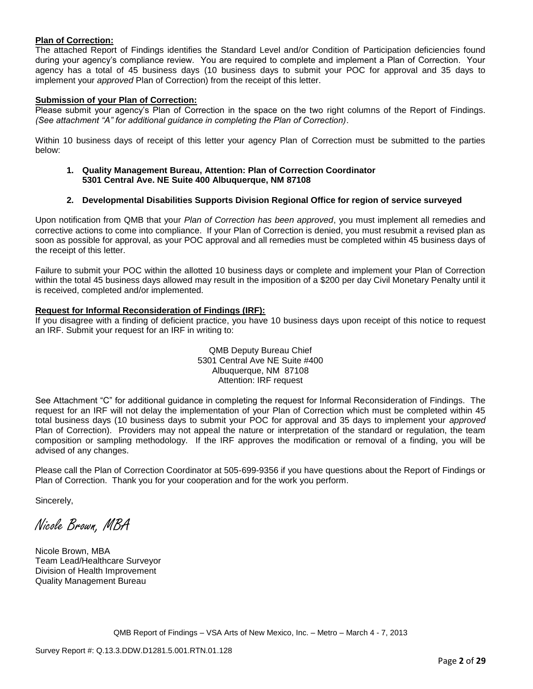#### **Plan of Correction:**

The attached Report of Findings identifies the Standard Level and/or Condition of Participation deficiencies found during your agency's compliance review. You are required to complete and implement a Plan of Correction. Your agency has a total of 45 business days (10 business days to submit your POC for approval and 35 days to implement your *approved* Plan of Correction) from the receipt of this letter.

#### **Submission of your Plan of Correction:**

Please submit your agency's Plan of Correction in the space on the two right columns of the Report of Findings. *(See attachment "A" for additional guidance in completing the Plan of Correction)*.

Within 10 business days of receipt of this letter your agency Plan of Correction must be submitted to the parties below:

**1. Quality Management Bureau, Attention: Plan of Correction Coordinator 5301 Central Ave. NE Suite 400 Albuquerque, NM 87108**

#### **2. Developmental Disabilities Supports Division Regional Office for region of service surveyed**

Upon notification from QMB that your *Plan of Correction has been approved*, you must implement all remedies and corrective actions to come into compliance. If your Plan of Correction is denied, you must resubmit a revised plan as soon as possible for approval, as your POC approval and all remedies must be completed within 45 business days of the receipt of this letter.

Failure to submit your POC within the allotted 10 business days or complete and implement your Plan of Correction within the total 45 business days allowed may result in the imposition of a \$200 per day Civil Monetary Penalty until it is received, completed and/or implemented.

#### **Request for Informal Reconsideration of Findings (IRF):**

If you disagree with a finding of deficient practice, you have 10 business days upon receipt of this notice to request an IRF. Submit your request for an IRF in writing to:

> QMB Deputy Bureau Chief 5301 Central Ave NE Suite #400 Albuquerque, NM 87108 Attention: IRF request

See Attachment "C" for additional guidance in completing the request for Informal Reconsideration of Findings. The request for an IRF will not delay the implementation of your Plan of Correction which must be completed within 45 total business days (10 business days to submit your POC for approval and 35 days to implement your *approved* Plan of Correction). Providers may not appeal the nature or interpretation of the standard or regulation, the team composition or sampling methodology. If the IRF approves the modification or removal of a finding, you will be advised of any changes.

Please call the Plan of Correction Coordinator at 505-699-9356 if you have questions about the Report of Findings or Plan of Correction. Thank you for your cooperation and for the work you perform.

Sincerely,

Nicole Brown, MBA

Nicole Brown, MBA Team Lead/Healthcare Surveyor Division of Health Improvement Quality Management Bureau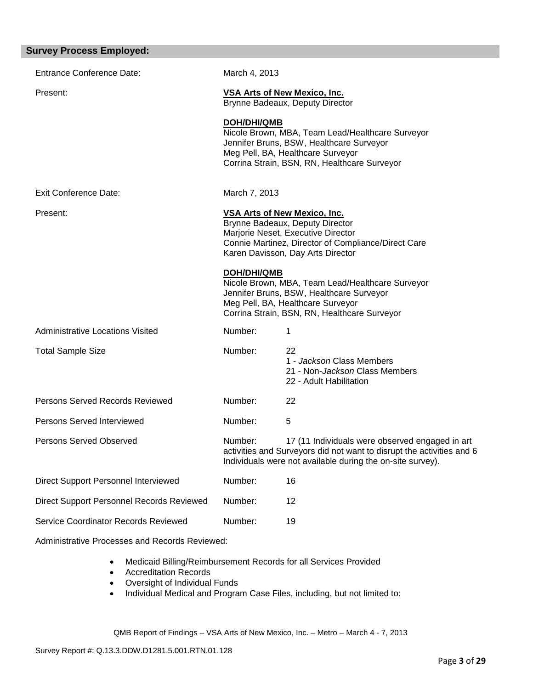| <b>Survey Process Employed:</b>           |                    |                                                                                                                                                                                                          |
|-------------------------------------------|--------------------|----------------------------------------------------------------------------------------------------------------------------------------------------------------------------------------------------------|
| <b>Entrance Conference Date:</b>          | March 4, 2013      |                                                                                                                                                                                                          |
| Present:                                  |                    | <b>VSA Arts of New Mexico, Inc.</b><br>Brynne Badeaux, Deputy Director                                                                                                                                   |
|                                           | DOH/DHI/QMB        | Nicole Brown, MBA, Team Lead/Healthcare Surveyor<br>Jennifer Bruns, BSW, Healthcare Surveyor<br>Meg Pell, BA, Healthcare Surveyor<br>Corrina Strain, BSN, RN, Healthcare Surveyor                        |
| <b>Exit Conference Date:</b>              | March 7, 2013      |                                                                                                                                                                                                          |
| Present:                                  |                    | <b>VSA Arts of New Mexico, Inc.</b><br>Brynne Badeaux, Deputy Director<br>Marjorie Neset, Executive Director<br>Connie Martinez, Director of Compliance/Direct Care<br>Karen Davisson, Day Arts Director |
|                                           | <b>DOH/DHI/QMB</b> | Nicole Brown, MBA, Team Lead/Healthcare Surveyor<br>Jennifer Bruns, BSW, Healthcare Surveyor<br>Meg Pell, BA, Healthcare Surveyor<br>Corrina Strain, BSN, RN, Healthcare Surveyor                        |
| Administrative Locations Visited          | Number:            | 1                                                                                                                                                                                                        |
| <b>Total Sample Size</b>                  | Number:            | 22<br>1 - Jackson Class Members<br>21 - Non-Jackson Class Members<br>22 - Adult Habilitation                                                                                                             |
| Persons Served Records Reviewed           | Number:            | 22                                                                                                                                                                                                       |
| Persons Served Interviewed                | Number:            | 5                                                                                                                                                                                                        |
| <b>Persons Served Observed</b>            | Number:            | 17 (11 Individuals were observed engaged in art<br>activities and Surveyors did not want to disrupt the activities and 6<br>Individuals were not available during the on-site survey).                   |
| Direct Support Personnel Interviewed      | Number:            | 16                                                                                                                                                                                                       |
| Direct Support Personnel Records Reviewed | Number:            | 12                                                                                                                                                                                                       |
| Service Coordinator Records Reviewed      | Number:            | 19                                                                                                                                                                                                       |
|                                           |                    |                                                                                                                                                                                                          |

Administrative Processes and Records Reviewed:

- Medicaid Billing/Reimbursement Records for all Services Provided
- Accreditation Records
- Oversight of Individual Funds
- Individual Medical and Program Case Files, including, but not limited to: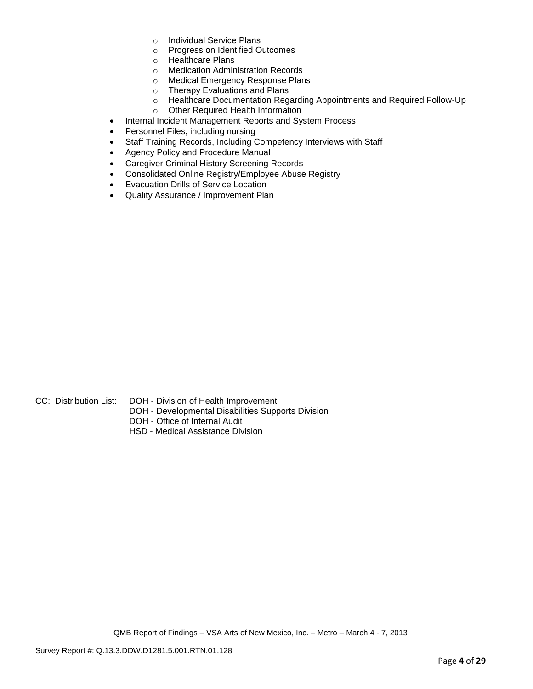- o Individual Service Plans
- o Progress on Identified Outcomes
- o Healthcare Plans
- o Medication Administration Records
- o Medical Emergency Response Plans
- o Therapy Evaluations and Plans
- o Healthcare Documentation Regarding Appointments and Required Follow-Up
- o Other Required Health Information
- Internal Incident Management Reports and System Process
- Personnel Files, including nursing
- Staff Training Records, Including Competency Interviews with Staff
- Agency Policy and Procedure Manual
- **Caregiver Criminal History Screening Records**
- Consolidated Online Registry/Employee Abuse Registry
- Evacuation Drills of Service Location
- Quality Assurance / Improvement Plan

- 
- CC: Distribution List: DOH Division of Health Improvement
	- DOH Developmental Disabilities Supports Division
	- DOH Office of Internal Audit
	- HSD Medical Assistance Division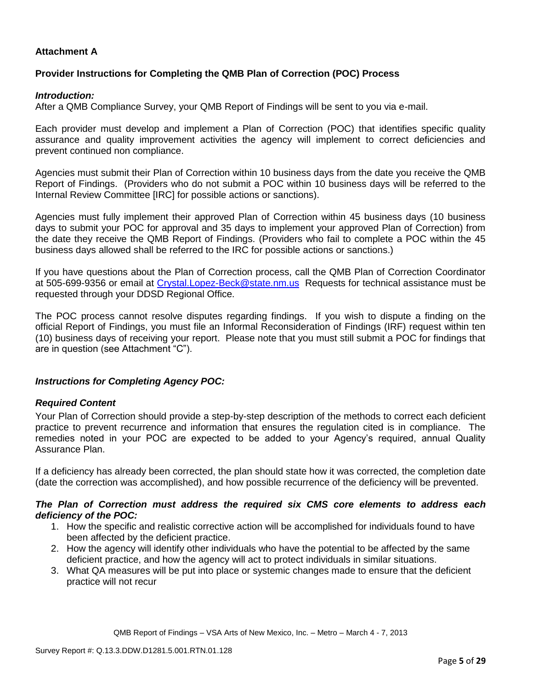## **Attachment A**

### **Provider Instructions for Completing the QMB Plan of Correction (POC) Process**

#### *Introduction:*

After a QMB Compliance Survey, your QMB Report of Findings will be sent to you via e-mail.

Each provider must develop and implement a Plan of Correction (POC) that identifies specific quality assurance and quality improvement activities the agency will implement to correct deficiencies and prevent continued non compliance.

Agencies must submit their Plan of Correction within 10 business days from the date you receive the QMB Report of Findings. (Providers who do not submit a POC within 10 business days will be referred to the Internal Review Committee [IRC] for possible actions or sanctions).

Agencies must fully implement their approved Plan of Correction within 45 business days (10 business days to submit your POC for approval and 35 days to implement your approved Plan of Correction) from the date they receive the QMB Report of Findings. (Providers who fail to complete a POC within the 45 business days allowed shall be referred to the IRC for possible actions or sanctions.)

If you have questions about the Plan of Correction process, call the QMB Plan of Correction Coordinator at 505-699-9356 or email at Crystal.Lopez-Beck@state.nm.us Requests for technical assistance must be requested through your DDSD Regional Office.

The POC process cannot resolve disputes regarding findings. If you wish to dispute a finding on the official Report of Findings, you must file an Informal Reconsideration of Findings (IRF) request within ten (10) business days of receiving your report. Please note that you must still submit a POC for findings that are in question (see Attachment "C").

#### *Instructions for Completing Agency POC:*

#### *Required Content*

Your Plan of Correction should provide a step-by-step description of the methods to correct each deficient practice to prevent recurrence and information that ensures the regulation cited is in compliance. The remedies noted in your POC are expected to be added to your Agency's required, annual Quality Assurance Plan.

If a deficiency has already been corrected, the plan should state how it was corrected, the completion date (date the correction was accomplished), and how possible recurrence of the deficiency will be prevented.

### *The Plan of Correction must address the required six CMS core elements to address each deficiency of the POC:*

- 1. How the specific and realistic corrective action will be accomplished for individuals found to have been affected by the deficient practice.
- 2. How the agency will identify other individuals who have the potential to be affected by the same deficient practice, and how the agency will act to protect individuals in similar situations.
- 3. What QA measures will be put into place or systemic changes made to ensure that the deficient practice will not recur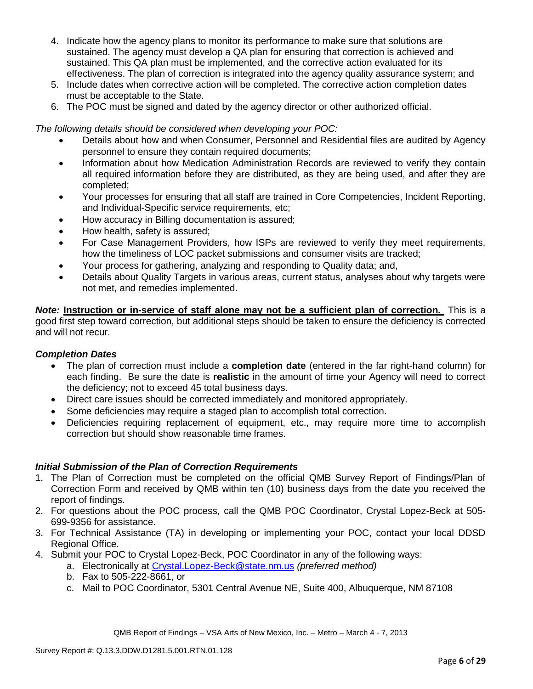- 4. Indicate how the agency plans to monitor its performance to make sure that solutions are sustained. The agency must develop a QA plan for ensuring that correction is achieved and sustained. This QA plan must be implemented, and the corrective action evaluated for its effectiveness. The plan of correction is integrated into the agency quality assurance system; and
- 5. Include dates when corrective action will be completed. The corrective action completion dates must be acceptable to the State.
- 6. The POC must be signed and dated by the agency director or other authorized official.

*The following details should be considered when developing your POC:*

- Details about how and when Consumer, Personnel and Residential files are audited by Agency personnel to ensure they contain required documents;
- Information about how Medication Administration Records are reviewed to verify they contain all required information before they are distributed, as they are being used, and after they are completed;
- Your processes for ensuring that all staff are trained in Core Competencies, Incident Reporting, and Individual-Specific service requirements, etc;
- How accuracy in Billing documentation is assured;
- How health, safety is assured;
- For Case Management Providers, how ISPs are reviewed to verify they meet requirements, how the timeliness of LOC packet submissions and consumer visits are tracked;
- Your process for gathering, analyzing and responding to Quality data; and,
- Details about Quality Targets in various areas, current status, analyses about why targets were not met, and remedies implemented.

*Note:* **Instruction or in-service of staff alone may not be a sufficient plan of correction.** This is a good first step toward correction, but additional steps should be taken to ensure the deficiency is corrected and will not recur.

## *Completion Dates*

- The plan of correction must include a **completion date** (entered in the far right-hand column) for each finding. Be sure the date is **realistic** in the amount of time your Agency will need to correct the deficiency; not to exceed 45 total business days.
- Direct care issues should be corrected immediately and monitored appropriately.
- Some deficiencies may require a staged plan to accomplish total correction.
- Deficiencies requiring replacement of equipment, etc., may require more time to accomplish correction but should show reasonable time frames.

## *Initial Submission of the Plan of Correction Requirements*

- 1. The Plan of Correction must be completed on the official QMB Survey Report of Findings/Plan of Correction Form and received by QMB within ten (10) business days from the date you received the report of findings.
- 2. For questions about the POC process, call the QMB POC Coordinator, Crystal Lopez-Beck at 505- 699-9356 for assistance.
- 3. For Technical Assistance (TA) in developing or implementing your POC, contact your local DDSD Regional Office.
- 4. Submit your POC to Crystal Lopez-Beck, POC Coordinator in any of the following ways:
	- a. Electronically at Crystal.Lopez-Beck@state.nm.us *(preferred method)*
	- b. Fax to 505-222-8661, or
	- c. Mail to POC Coordinator, 5301 Central Avenue NE, Suite 400, Albuquerque, NM 87108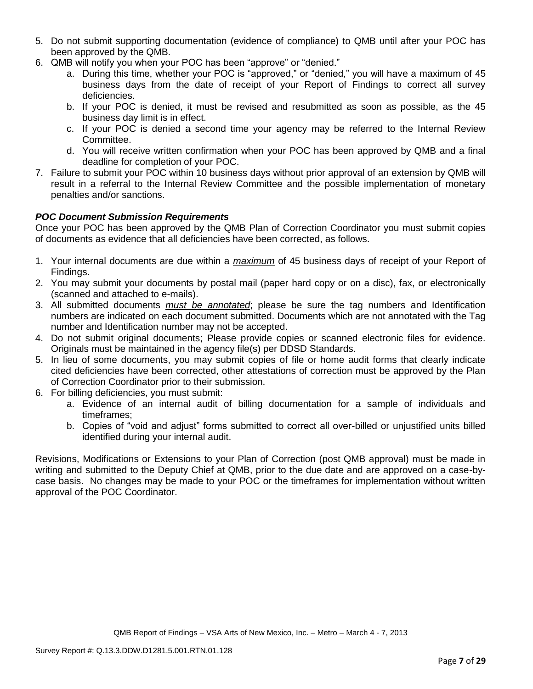- 5. Do not submit supporting documentation (evidence of compliance) to QMB until after your POC has been approved by the QMB.
- 6. QMB will notify you when your POC has been "approve" or "denied."
	- a. During this time, whether your POC is "approved," or "denied," you will have a maximum of 45 business days from the date of receipt of your Report of Findings to correct all survey deficiencies.
	- b. If your POC is denied, it must be revised and resubmitted as soon as possible, as the 45 business day limit is in effect.
	- c. If your POC is denied a second time your agency may be referred to the Internal Review Committee.
	- d. You will receive written confirmation when your POC has been approved by QMB and a final deadline for completion of your POC.
- 7. Failure to submit your POC within 10 business days without prior approval of an extension by QMB will result in a referral to the Internal Review Committee and the possible implementation of monetary penalties and/or sanctions.

## *POC Document Submission Requirements*

Once your POC has been approved by the QMB Plan of Correction Coordinator you must submit copies of documents as evidence that all deficiencies have been corrected, as follows.

- 1. Your internal documents are due within a *maximum* of 45 business days of receipt of your Report of Findings.
- 2. You may submit your documents by postal mail (paper hard copy or on a disc), fax, or electronically (scanned and attached to e-mails).
- 3. All submitted documents *must be annotated*; please be sure the tag numbers and Identification numbers are indicated on each document submitted. Documents which are not annotated with the Tag number and Identification number may not be accepted.
- 4. Do not submit original documents; Please provide copies or scanned electronic files for evidence. Originals must be maintained in the agency file(s) per DDSD Standards.
- 5. In lieu of some documents, you may submit copies of file or home audit forms that clearly indicate cited deficiencies have been corrected, other attestations of correction must be approved by the Plan of Correction Coordinator prior to their submission.
- 6. For billing deficiencies, you must submit:
	- a. Evidence of an internal audit of billing documentation for a sample of individuals and timeframes;
	- b. Copies of "void and adjust" forms submitted to correct all over-billed or unjustified units billed identified during your internal audit.

Revisions, Modifications or Extensions to your Plan of Correction (post QMB approval) must be made in writing and submitted to the Deputy Chief at QMB, prior to the due date and are approved on a case-bycase basis. No changes may be made to your POC or the timeframes for implementation without written approval of the POC Coordinator.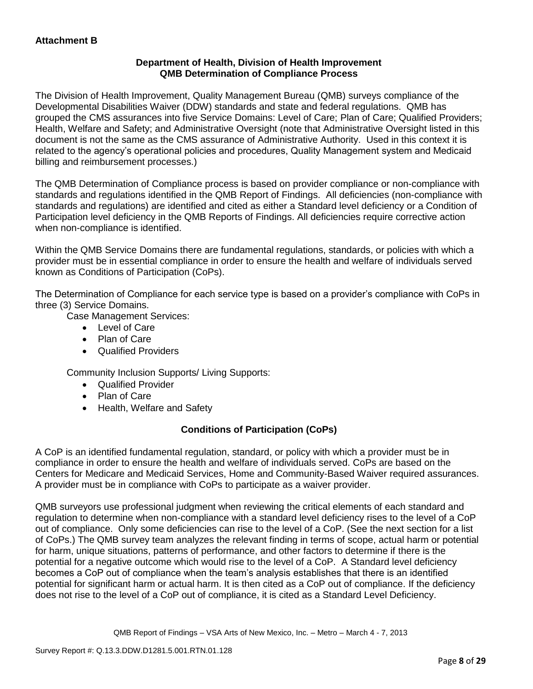## **Department of Health, Division of Health Improvement QMB Determination of Compliance Process**

The Division of Health Improvement, Quality Management Bureau (QMB) surveys compliance of the Developmental Disabilities Waiver (DDW) standards and state and federal regulations. QMB has grouped the CMS assurances into five Service Domains: Level of Care; Plan of Care; Qualified Providers; Health, Welfare and Safety; and Administrative Oversight (note that Administrative Oversight listed in this document is not the same as the CMS assurance of Administrative Authority. Used in this context it is related to the agency's operational policies and procedures, Quality Management system and Medicaid billing and reimbursement processes.)

The QMB Determination of Compliance process is based on provider compliance or non-compliance with standards and regulations identified in the QMB Report of Findings. All deficiencies (non-compliance with standards and regulations) are identified and cited as either a Standard level deficiency or a Condition of Participation level deficiency in the QMB Reports of Findings. All deficiencies require corrective action when non-compliance is identified.

Within the QMB Service Domains there are fundamental regulations, standards, or policies with which a provider must be in essential compliance in order to ensure the health and welfare of individuals served known as Conditions of Participation (CoPs).

The Determination of Compliance for each service type is based on a provider's compliance with CoPs in three (3) Service Domains.

Case Management Services:

- Level of Care
- Plan of Care
- Qualified Providers

Community Inclusion Supports/ Living Supports:

- Qualified Provider
- Plan of Care
- Health, Welfare and Safety

# **Conditions of Participation (CoPs)**

A CoP is an identified fundamental regulation, standard, or policy with which a provider must be in compliance in order to ensure the health and welfare of individuals served. CoPs are based on the Centers for Medicare and Medicaid Services, Home and Community-Based Waiver required assurances. A provider must be in compliance with CoPs to participate as a waiver provider.

QMB surveyors use professional judgment when reviewing the critical elements of each standard and regulation to determine when non-compliance with a standard level deficiency rises to the level of a CoP out of compliance. Only some deficiencies can rise to the level of a CoP. (See the next section for a list of CoPs.) The QMB survey team analyzes the relevant finding in terms of scope, actual harm or potential for harm, unique situations, patterns of performance, and other factors to determine if there is the potential for a negative outcome which would rise to the level of a CoP. A Standard level deficiency becomes a CoP out of compliance when the team's analysis establishes that there is an identified potential for significant harm or actual harm. It is then cited as a CoP out of compliance. If the deficiency does not rise to the level of a CoP out of compliance, it is cited as a Standard Level Deficiency.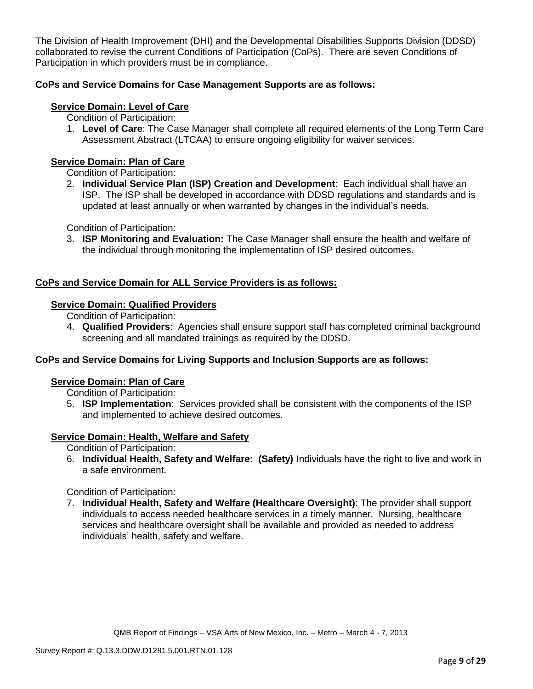The Division of Health Improvement (DHI) and the Developmental Disabilities Supports Division (DDSD) collaborated to revise the current Conditions of Participation (CoPs). There are seven Conditions of Participation in which providers must be in compliance.

### **CoPs and Service Domains for Case Management Supports are as follows:**

### **Service Domain: Level of Care**

Condition of Participation:

1. **Level of Care**: The Case Manager shall complete all required elements of the Long Term Care Assessment Abstract (LTCAA) to ensure ongoing eligibility for waiver services.

### **Service Domain: Plan of Care**

Condition of Participation:

2. **Individual Service Plan (ISP) Creation and Development**: Each individual shall have an ISP. The ISP shall be developed in accordance with DDSD regulations and standards and is updated at least annually or when warranted by changes in the individual's needs.

Condition of Participation:

3. **ISP Monitoring and Evaluation:** The Case Manager shall ensure the health and welfare of the individual through monitoring the implementation of ISP desired outcomes.

## **CoPs and Service Domain for ALL Service Providers is as follows:**

#### **Service Domain: Qualified Providers**

Condition of Participation:

4. **Qualified Providers**: Agencies shall ensure support staff has completed criminal background screening and all mandated trainings as required by the DDSD.

#### **CoPs and Service Domains for Living Supports and Inclusion Supports are as follows:**

#### **Service Domain: Plan of Care**

Condition of Participation:

5. **ISP Implementation**: Services provided shall be consistent with the components of the ISP and implemented to achieve desired outcomes.

#### **Service Domain: Health, Welfare and Safety**

Condition of Participation:

6. **Individual Health, Safety and Welfare: (Safety)** Individuals have the right to live and work in a safe environment.

Condition of Participation:

7. **Individual Health, Safety and Welfare (Healthcare Oversight)**: The provider shall support individuals to access needed healthcare services in a timely manner. Nursing, healthcare services and healthcare oversight shall be available and provided as needed to address individuals' health, safety and welfare.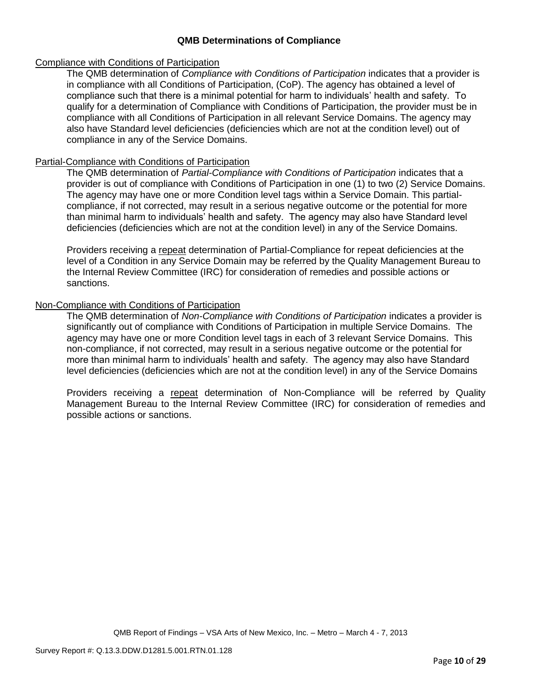### **QMB Determinations of Compliance**

#### Compliance with Conditions of Participation

The QMB determination of *Compliance with Conditions of Participation* indicates that a provider is in compliance with all Conditions of Participation, (CoP). The agency has obtained a level of compliance such that there is a minimal potential for harm to individuals' health and safety. To qualify for a determination of Compliance with Conditions of Participation, the provider must be in compliance with all Conditions of Participation in all relevant Service Domains. The agency may also have Standard level deficiencies (deficiencies which are not at the condition level) out of compliance in any of the Service Domains.

#### Partial-Compliance with Conditions of Participation

The QMB determination of *Partial-Compliance with Conditions of Participation* indicates that a provider is out of compliance with Conditions of Participation in one (1) to two (2) Service Domains. The agency may have one or more Condition level tags within a Service Domain. This partialcompliance, if not corrected, may result in a serious negative outcome or the potential for more than minimal harm to individuals' health and safety. The agency may also have Standard level deficiencies (deficiencies which are not at the condition level) in any of the Service Domains.

Providers receiving a repeat determination of Partial-Compliance for repeat deficiencies at the level of a Condition in any Service Domain may be referred by the Quality Management Bureau to the Internal Review Committee (IRC) for consideration of remedies and possible actions or sanctions.

### Non-Compliance with Conditions of Participation

The QMB determination of *Non-Compliance with Conditions of Participation* indicates a provider is significantly out of compliance with Conditions of Participation in multiple Service Domains. The agency may have one or more Condition level tags in each of 3 relevant Service Domains. This non-compliance, if not corrected, may result in a serious negative outcome or the potential for more than minimal harm to individuals' health and safety. The agency may also have Standard level deficiencies (deficiencies which are not at the condition level) in any of the Service Domains

Providers receiving a repeat determination of Non-Compliance will be referred by Quality Management Bureau to the Internal Review Committee (IRC) for consideration of remedies and possible actions or sanctions.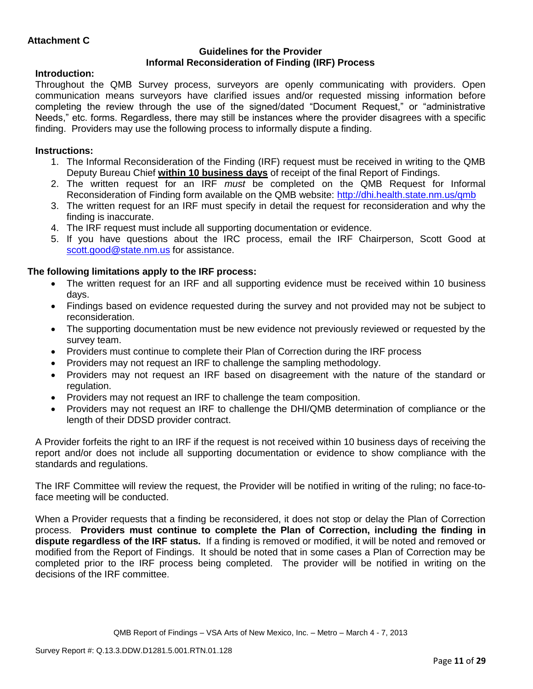### **Guidelines for the Provider Informal Reconsideration of Finding (IRF) Process**

### **Introduction:**

Throughout the QMB Survey process, surveyors are openly communicating with providers. Open communication means surveyors have clarified issues and/or requested missing information before completing the review through the use of the signed/dated "Document Request," or "administrative Needs," etc. forms. Regardless, there may still be instances where the provider disagrees with a specific finding. Providers may use the following process to informally dispute a finding.

### **Instructions:**

- 1. The Informal Reconsideration of the Finding (IRF) request must be received in writing to the QMB Deputy Bureau Chief **within 10 business days** of receipt of the final Report of Findings.
- 2. The written request for an IRF *must* be completed on the QMB Request for Informal Reconsideration of Finding form available on the QMB website:<http://dhi.health.state.nm.us/qmb>
- 3. The written request for an IRF must specify in detail the request for reconsideration and why the finding is inaccurate.
- 4. The IRF request must include all supporting documentation or evidence.
- 5. If you have questions about the IRC process, email the IRF Chairperson, Scott Good at [scott.good@state.nm.us](mailto:scott.good@state.nm.us) for assistance.

### **The following limitations apply to the IRF process:**

- The written request for an IRF and all supporting evidence must be received within 10 business days.
- Findings based on evidence requested during the survey and not provided may not be subject to reconsideration.
- The supporting documentation must be new evidence not previously reviewed or requested by the survey team.
- Providers must continue to complete their Plan of Correction during the IRF process
- Providers may not request an IRF to challenge the sampling methodology.
- Providers may not request an IRF based on disagreement with the nature of the standard or regulation.
- Providers may not request an IRF to challenge the team composition.
- Providers may not request an IRF to challenge the DHI/QMB determination of compliance or the length of their DDSD provider contract.

A Provider forfeits the right to an IRF if the request is not received within 10 business days of receiving the report and/or does not include all supporting documentation or evidence to show compliance with the standards and regulations.

The IRF Committee will review the request, the Provider will be notified in writing of the ruling; no face-toface meeting will be conducted.

When a Provider requests that a finding be reconsidered, it does not stop or delay the Plan of Correction process. **Providers must continue to complete the Plan of Correction, including the finding in dispute regardless of the IRF status.** If a finding is removed or modified, it will be noted and removed or modified from the Report of Findings. It should be noted that in some cases a Plan of Correction may be completed prior to the IRF process being completed. The provider will be notified in writing on the decisions of the IRF committee.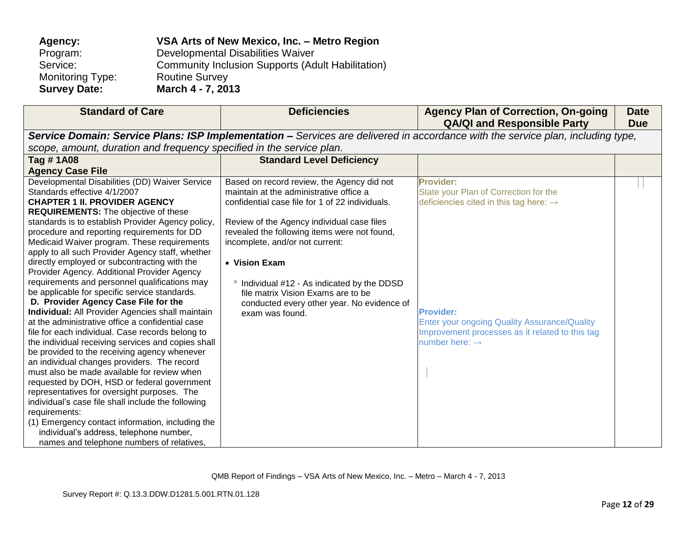| Agency:                 | VSA Arts of New Mexico, Inc. - Metro Region              |
|-------------------------|----------------------------------------------------------|
| Program:                | Developmental Disabilities Waiver                        |
| Service:                | <b>Community Inclusion Supports (Adult Habilitation)</b> |
| <b>Monitoring Type:</b> | <b>Routine Survey</b>                                    |
| <b>Survey Date:</b>     | March 4 - 7, 2013                                        |

| <b>Standard of Care</b>                                                                    | <b>Deficiencies</b>                             | <b>Agency Plan of Correction, On-going</b><br><b>QA/QI and Responsible Party</b>                                                | <b>Date</b><br><b>Due</b> |
|--------------------------------------------------------------------------------------------|-------------------------------------------------|---------------------------------------------------------------------------------------------------------------------------------|---------------------------|
|                                                                                            |                                                 | Service Domain: Service Plans: ISP Implementation - Services are delivered in accordance with the service plan, including type, |                           |
| scope, amount, duration and frequency specified in the service plan.                       |                                                 |                                                                                                                                 |                           |
| Tag #1A08                                                                                  | <b>Standard Level Deficiency</b>                |                                                                                                                                 |                           |
| <b>Agency Case File</b>                                                                    |                                                 |                                                                                                                                 |                           |
| Developmental Disabilities (DD) Waiver Service                                             | Based on record review, the Agency did not      | <b>Provider:</b>                                                                                                                |                           |
| Standards effective 4/1/2007                                                               | maintain at the administrative office a         | State your Plan of Correction for the                                                                                           |                           |
| <b>CHAPTER 1 II. PROVIDER AGENCY</b>                                                       | confidential case file for 1 of 22 individuals. | deficiencies cited in this tag here: $\rightarrow$                                                                              |                           |
| <b>REQUIREMENTS:</b> The objective of these                                                |                                                 |                                                                                                                                 |                           |
| standards is to establish Provider Agency policy,                                          | Review of the Agency individual case files      |                                                                                                                                 |                           |
| procedure and reporting requirements for DD                                                | revealed the following items were not found,    |                                                                                                                                 |                           |
| Medicaid Waiver program. These requirements                                                | incomplete, and/or not current:                 |                                                                                                                                 |                           |
| apply to all such Provider Agency staff, whether                                           |                                                 |                                                                                                                                 |                           |
| directly employed or subcontracting with the                                               | • Vision Exam                                   |                                                                                                                                 |                           |
| Provider Agency. Additional Provider Agency                                                |                                                 |                                                                                                                                 |                           |
| requirements and personnel qualifications may                                              | Individual #12 - As indicated by the DDSD       |                                                                                                                                 |                           |
| be applicable for specific service standards.                                              | file matrix Vision Exams are to be              |                                                                                                                                 |                           |
| D. Provider Agency Case File for the                                                       | conducted every other year. No evidence of      |                                                                                                                                 |                           |
| <b>Individual:</b> All Provider Agencies shall maintain                                    | exam was found.                                 | <b>Provider:</b>                                                                                                                |                           |
| at the administrative office a confidential case                                           |                                                 | Enter your ongoing Quality Assurance/Quality                                                                                    |                           |
| file for each individual. Case records belong to                                           |                                                 | Improvement processes as it related to this tag                                                                                 |                           |
| the individual receiving services and copies shall                                         |                                                 | number here: $\rightarrow$                                                                                                      |                           |
| be provided to the receiving agency whenever                                               |                                                 |                                                                                                                                 |                           |
| an individual changes providers. The record<br>must also be made available for review when |                                                 |                                                                                                                                 |                           |
| requested by DOH, HSD or federal government                                                |                                                 |                                                                                                                                 |                           |
| representatives for oversight purposes. The                                                |                                                 |                                                                                                                                 |                           |
| individual's case file shall include the following                                         |                                                 |                                                                                                                                 |                           |
| requirements:                                                                              |                                                 |                                                                                                                                 |                           |
| (1) Emergency contact information, including the                                           |                                                 |                                                                                                                                 |                           |
| individual's address, telephone number,                                                    |                                                 |                                                                                                                                 |                           |
| names and telephone numbers of relatives,                                                  |                                                 |                                                                                                                                 |                           |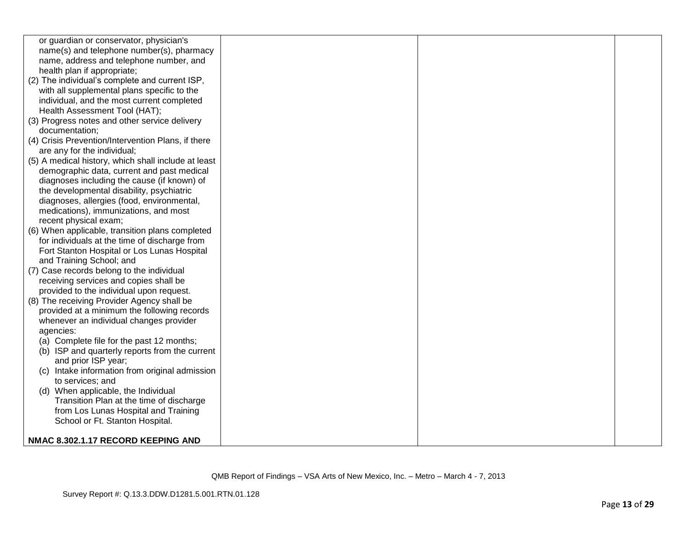| or guardian or conservator, physician's             |  |  |
|-----------------------------------------------------|--|--|
| name(s) and telephone number(s), pharmacy           |  |  |
| name, address and telephone number, and             |  |  |
| health plan if appropriate;                         |  |  |
| (2) The individual's complete and current ISP,      |  |  |
|                                                     |  |  |
| with all supplemental plans specific to the         |  |  |
| individual, and the most current completed          |  |  |
| Health Assessment Tool (HAT);                       |  |  |
| (3) Progress notes and other service delivery       |  |  |
| documentation;                                      |  |  |
| (4) Crisis Prevention/Intervention Plans, if there  |  |  |
| are any for the individual;                         |  |  |
| (5) A medical history, which shall include at least |  |  |
| demographic data, current and past medical          |  |  |
| diagnoses including the cause (if known) of         |  |  |
| the developmental disability, psychiatric           |  |  |
| diagnoses, allergies (food, environmental,          |  |  |
| medications), immunizations, and most               |  |  |
| recent physical exam;                               |  |  |
| (6) When applicable, transition plans completed     |  |  |
| for individuals at the time of discharge from       |  |  |
| Fort Stanton Hospital or Los Lunas Hospital         |  |  |
| and Training School; and                            |  |  |
| (7) Case records belong to the individual           |  |  |
| receiving services and copies shall be              |  |  |
| provided to the individual upon request.            |  |  |
| (8) The receiving Provider Agency shall be          |  |  |
| provided at a minimum the following records         |  |  |
| whenever an individual changes provider             |  |  |
| agencies:                                           |  |  |
| (a) Complete file for the past 12 months;           |  |  |
| (b) ISP and quarterly reports from the current      |  |  |
| and prior ISP year;                                 |  |  |
| Intake information from original admission<br>(C)   |  |  |
| to services; and                                    |  |  |
| (d) When applicable, the Individual                 |  |  |
| Transition Plan at the time of discharge            |  |  |
| from Los Lunas Hospital and Training                |  |  |
| School or Ft. Stanton Hospital.                     |  |  |
|                                                     |  |  |
| NMAC 8.302.1.17 RECORD KEEPING AND                  |  |  |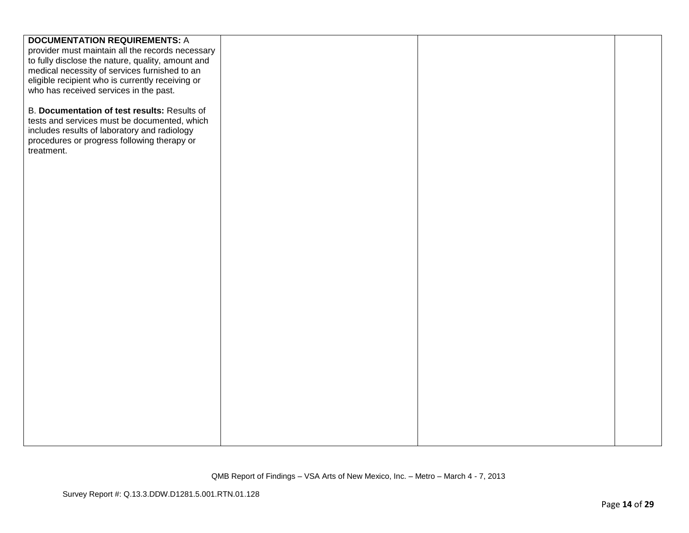| <b>DOCUMENTATION REQUIREMENTS: A</b>              |  |  |
|---------------------------------------------------|--|--|
| provider must maintain all the records necessary  |  |  |
| to fully disclose the nature, quality, amount and |  |  |
| medical necessity of services furnished to an     |  |  |
| eligible recipient who is currently receiving or  |  |  |
| who has received services in the past.            |  |  |
|                                                   |  |  |
| B. Documentation of test results: Results of      |  |  |
| tests and services must be documented, which      |  |  |
| includes results of laboratory and radiology      |  |  |
| procedures or progress following therapy or       |  |  |
| treatment.                                        |  |  |
|                                                   |  |  |
|                                                   |  |  |
|                                                   |  |  |
|                                                   |  |  |
|                                                   |  |  |
|                                                   |  |  |
|                                                   |  |  |
|                                                   |  |  |
|                                                   |  |  |
|                                                   |  |  |
|                                                   |  |  |
|                                                   |  |  |
|                                                   |  |  |
|                                                   |  |  |
|                                                   |  |  |
|                                                   |  |  |
|                                                   |  |  |
|                                                   |  |  |
|                                                   |  |  |
|                                                   |  |  |
|                                                   |  |  |
|                                                   |  |  |
|                                                   |  |  |
|                                                   |  |  |
|                                                   |  |  |
|                                                   |  |  |
|                                                   |  |  |
|                                                   |  |  |
|                                                   |  |  |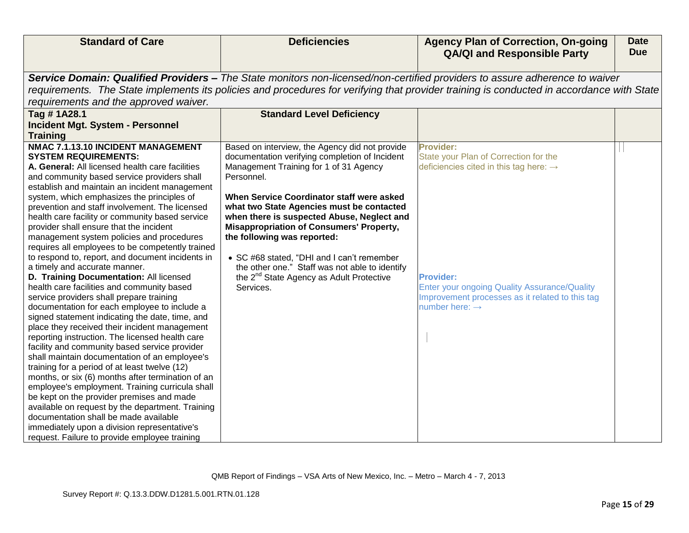| <b>Standard of Care</b>                                                                          | <b>Deficiencies</b>                                  | <b>Agency Plan of Correction, On-going</b>                                                                                                | <b>Date</b> |
|--------------------------------------------------------------------------------------------------|------------------------------------------------------|-------------------------------------------------------------------------------------------------------------------------------------------|-------------|
|                                                                                                  |                                                      | <b>QA/QI and Responsible Party</b>                                                                                                        | <b>Due</b>  |
|                                                                                                  |                                                      | Service Domain: Qualified Providers - The State monitors non-licensed/non-certified providers to assure adherence to waiver               |             |
|                                                                                                  |                                                      | requirements. The State implements its policies and procedures for verifying that provider training is conducted in accordance with State |             |
| requirements and the approved waiver.                                                            |                                                      |                                                                                                                                           |             |
| Tag #1A28.1                                                                                      | <b>Standard Level Deficiency</b>                     |                                                                                                                                           |             |
| <b>Incident Mgt. System - Personnel</b>                                                          |                                                      |                                                                                                                                           |             |
| <b>Training</b>                                                                                  |                                                      |                                                                                                                                           |             |
| NMAC 7.1.13.10 INCIDENT MANAGEMENT                                                               | Based on interview, the Agency did not provide       | <b>Provider:</b>                                                                                                                          |             |
| <b>SYSTEM REQUIREMENTS:</b>                                                                      | documentation verifying completion of Incident       | State your Plan of Correction for the                                                                                                     |             |
| A. General: All licensed health care facilities                                                  | Management Training for 1 of 31 Agency               | deficiencies cited in this tag here: $\rightarrow$                                                                                        |             |
| and community based service providers shall                                                      | Personnel.                                           |                                                                                                                                           |             |
| establish and maintain an incident management<br>system, which emphasizes the principles of      | When Service Coordinator staff were asked            |                                                                                                                                           |             |
| prevention and staff involvement. The licensed                                                   | what two State Agencies must be contacted            |                                                                                                                                           |             |
| health care facility or community based service                                                  | when there is suspected Abuse, Neglect and           |                                                                                                                                           |             |
| provider shall ensure that the incident                                                          | <b>Misappropriation of Consumers' Property,</b>      |                                                                                                                                           |             |
| management system policies and procedures                                                        | the following was reported:                          |                                                                                                                                           |             |
| requires all employees to be competently trained                                                 |                                                      |                                                                                                                                           |             |
| to respond to, report, and document incidents in                                                 | • SC #68 stated, "DHI and I can't remember           |                                                                                                                                           |             |
| a timely and accurate manner.                                                                    | the other one." Staff was not able to identify       |                                                                                                                                           |             |
| D. Training Documentation: All licensed                                                          | the 2 <sup>nd</sup> State Agency as Adult Protective | <b>Provider:</b>                                                                                                                          |             |
| health care facilities and community based                                                       | Services.                                            | <b>Enter your ongoing Quality Assurance/Quality</b>                                                                                       |             |
| service providers shall prepare training                                                         |                                                      | Improvement processes as it related to this tag                                                                                           |             |
| documentation for each employee to include a                                                     |                                                      | number here: $\rightarrow$                                                                                                                |             |
| signed statement indicating the date, time, and                                                  |                                                      |                                                                                                                                           |             |
| place they received their incident management                                                    |                                                      |                                                                                                                                           |             |
| reporting instruction. The licensed health care<br>facility and community based service provider |                                                      |                                                                                                                                           |             |
| shall maintain documentation of an employee's                                                    |                                                      |                                                                                                                                           |             |
| training for a period of at least twelve (12)                                                    |                                                      |                                                                                                                                           |             |
| months, or six (6) months after termination of an                                                |                                                      |                                                                                                                                           |             |
| employee's employment. Training curricula shall                                                  |                                                      |                                                                                                                                           |             |
| be kept on the provider premises and made                                                        |                                                      |                                                                                                                                           |             |
| available on request by the department. Training                                                 |                                                      |                                                                                                                                           |             |
| documentation shall be made available                                                            |                                                      |                                                                                                                                           |             |
| immediately upon a division representative's                                                     |                                                      |                                                                                                                                           |             |
| request. Failure to provide employee training                                                    |                                                      |                                                                                                                                           |             |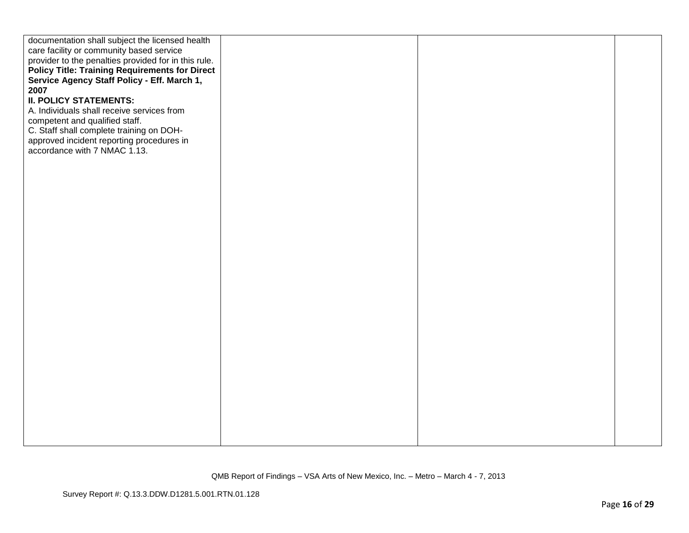| documentation shall subject the licensed health       |  |  |
|-------------------------------------------------------|--|--|
| care facility or community based service              |  |  |
| provider to the penalties provided for in this rule.  |  |  |
| <b>Policy Title: Training Requirements for Direct</b> |  |  |
| Service Agency Staff Policy - Eff. March 1,           |  |  |
| 2007                                                  |  |  |
| <b>II. POLICY STATEMENTS:</b>                         |  |  |
| A. Individuals shall receive services from            |  |  |
| competent and qualified staff.                        |  |  |
| C. Staff shall complete training on DOH-              |  |  |
| approved incident reporting procedures in             |  |  |
| accordance with 7 NMAC 1.13.                          |  |  |
|                                                       |  |  |
|                                                       |  |  |
|                                                       |  |  |
|                                                       |  |  |
|                                                       |  |  |
|                                                       |  |  |
|                                                       |  |  |
|                                                       |  |  |
|                                                       |  |  |
|                                                       |  |  |
|                                                       |  |  |
|                                                       |  |  |
|                                                       |  |  |
|                                                       |  |  |
|                                                       |  |  |
|                                                       |  |  |
|                                                       |  |  |
|                                                       |  |  |
|                                                       |  |  |
|                                                       |  |  |
|                                                       |  |  |
|                                                       |  |  |
|                                                       |  |  |
|                                                       |  |  |
|                                                       |  |  |
|                                                       |  |  |
|                                                       |  |  |
|                                                       |  |  |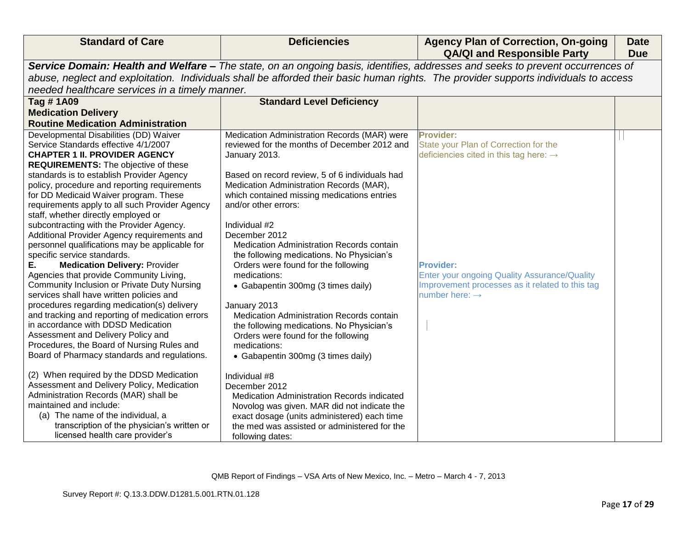| <b>Standard of Care</b>                                                                 | <b>Deficiencies</b>                            | <b>Agency Plan of Correction, On-going</b><br><b>QA/QI and Responsible Party</b>                                                     | <b>Date</b><br><b>Due</b> |
|-----------------------------------------------------------------------------------------|------------------------------------------------|--------------------------------------------------------------------------------------------------------------------------------------|---------------------------|
|                                                                                         |                                                | Service Domain: Health and Welfare - The state, on an ongoing basis, identifies, addresses and seeks to prevent occurrences of       |                           |
|                                                                                         |                                                | abuse, neglect and exploitation. Individuals shall be afforded their basic human rights. The provider supports individuals to access |                           |
| needed healthcare services in a timely manner.                                          |                                                |                                                                                                                                      |                           |
| Tag #1A09                                                                               | <b>Standard Level Deficiency</b>               |                                                                                                                                      |                           |
| <b>Medication Delivery</b>                                                              |                                                |                                                                                                                                      |                           |
| <b>Routine Medication Administration</b>                                                |                                                |                                                                                                                                      |                           |
| Developmental Disabilities (DD) Waiver                                                  | Medication Administration Records (MAR) were   | <b>Provider:</b>                                                                                                                     |                           |
| Service Standards effective 4/1/2007                                                    | reviewed for the months of December 2012 and   | State your Plan of Correction for the                                                                                                |                           |
| <b>CHAPTER 1 II. PROVIDER AGENCY</b>                                                    | January 2013.                                  | deficiencies cited in this tag here: $\rightarrow$                                                                                   |                           |
| <b>REQUIREMENTS:</b> The objective of these                                             |                                                |                                                                                                                                      |                           |
| standards is to establish Provider Agency                                               | Based on record review, 5 of 6 individuals had |                                                                                                                                      |                           |
| policy, procedure and reporting requirements                                            | Medication Administration Records (MAR),       |                                                                                                                                      |                           |
| for DD Medicaid Waiver program. These                                                   | which contained missing medications entries    |                                                                                                                                      |                           |
| requirements apply to all such Provider Agency                                          | and/or other errors:                           |                                                                                                                                      |                           |
| staff, whether directly employed or                                                     |                                                |                                                                                                                                      |                           |
| subcontracting with the Provider Agency.<br>Additional Provider Agency requirements and | Individual #2<br>December 2012                 |                                                                                                                                      |                           |
| personnel qualifications may be applicable for                                          | Medication Administration Records contain      |                                                                                                                                      |                           |
| specific service standards.                                                             | the following medications. No Physician's      |                                                                                                                                      |                           |
| <b>Medication Delivery: Provider</b><br>Е.                                              | Orders were found for the following            | <b>Provider:</b>                                                                                                                     |                           |
| Agencies that provide Community Living,                                                 | medications:                                   | <b>Enter your ongoing Quality Assurance/Quality</b>                                                                                  |                           |
| <b>Community Inclusion or Private Duty Nursing</b>                                      | • Gabapentin 300mg (3 times daily)             | Improvement processes as it related to this tag                                                                                      |                           |
| services shall have written policies and                                                |                                                | number here: $\rightarrow$                                                                                                           |                           |
| procedures regarding medication(s) delivery                                             | January 2013                                   |                                                                                                                                      |                           |
| and tracking and reporting of medication errors                                         | Medication Administration Records contain      |                                                                                                                                      |                           |
| in accordance with DDSD Medication                                                      | the following medications. No Physician's      |                                                                                                                                      |                           |
| Assessment and Delivery Policy and                                                      | Orders were found for the following            |                                                                                                                                      |                           |
| Procedures, the Board of Nursing Rules and                                              | medications:                                   |                                                                                                                                      |                           |
| Board of Pharmacy standards and regulations.                                            | • Gabapentin 300mg (3 times daily)             |                                                                                                                                      |                           |
| (2) When required by the DDSD Medication                                                | Individual #8                                  |                                                                                                                                      |                           |
| Assessment and Delivery Policy, Medication                                              | December 2012                                  |                                                                                                                                      |                           |
| Administration Records (MAR) shall be                                                   | Medication Administration Records indicated    |                                                                                                                                      |                           |
| maintained and include:                                                                 | Novolog was given. MAR did not indicate the    |                                                                                                                                      |                           |
| (a) The name of the individual, a                                                       | exact dosage (units administered) each time    |                                                                                                                                      |                           |
| transcription of the physician's written or                                             | the med was assisted or administered for the   |                                                                                                                                      |                           |
| licensed health care provider's                                                         | following dates:                               |                                                                                                                                      |                           |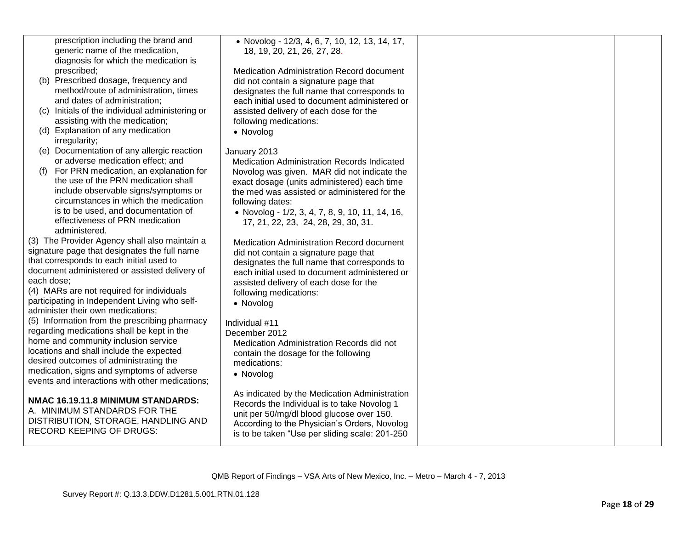| prescription including the brand and  |  |
|---------------------------------------|--|
| generic name of the medication,       |  |
| diagnosis for which the medication is |  |
| prescribed:                           |  |

- (b) Prescribed dosage, frequency and method/route of administration, times and dates of administration;
- $(c)$  Initials of the individual administering assisting with the medication;
- (d) Explanation of any medication irregularity;
- (e) Documentation of any allergic reaction or adverse medication effect; and
- (f) For PRN medication, an explanation the use of the PRN medication shall include observable signs/symptoms circumstances in which the medication is to be used, and documentation of effectiveness of PRN medication administered.

(3) The Provider Agency shall also maintair signature page that designates the full name that corresponds to each initial used to document administered or assisted delivery each dose;

(4) MARs are not required for individuals participating in Independent Living who selfadminister their own medications;

(5) Information from the prescribing pharma regarding medications shall be kept in the home and community inclusion service locations and shall include the expected desired outcomes of administrating the medication, signs and symptoms of adverse events and interactions with other medications

#### **NMAC 16.19.11.8 MINIMUM STANDARDS:**

A. MINIMUM STANDARDS FOR THE DISTRIBUTION, STORAGE, HANDLING AI RECORD KEEPING OF DRUGS:

| • Novolog - 12/3, 4, 6, 7, 10, 12, 13, 14, 17,<br>18, 19, 20, 21, 26, 27, 28.                                                              |                                                                                                                                           |  |
|--------------------------------------------------------------------------------------------------------------------------------------------|-------------------------------------------------------------------------------------------------------------------------------------------|--|
| Medication Administration Record document<br>did not contain a signature page that<br>designates the full name that corresponds to         |                                                                                                                                           |  |
| assisted delivery of each dose for the<br>following medications:<br>• Novolog                                                              |                                                                                                                                           |  |
| January 2013<br>Medication Administration Records Indicated                                                                                |                                                                                                                                           |  |
| Novolog was given. MAR did not indicate the<br>exact dosage (units administered) each time<br>the med was assisted or administered for the |                                                                                                                                           |  |
| following dates:<br>• Novolog - 1/2, 3, 4, 7, 8, 9, 10, 11, 14, 16,<br>17, 21, 22, 23, 24, 28, 29, 30, 31.                                 |                                                                                                                                           |  |
| <b>Medication Administration Record document</b><br>did not contain a signature page that<br>designates the full name that corresponds to  |                                                                                                                                           |  |
| each initial used to document administered or<br>assisted delivery of each dose for the<br>following medications:                          |                                                                                                                                           |  |
|                                                                                                                                            |                                                                                                                                           |  |
| December 2012<br>Medication Administration Records did not<br>contain the dosage for the following                                         |                                                                                                                                           |  |
| • Novolog                                                                                                                                  |                                                                                                                                           |  |
| As indicated by the Medication Administration<br>Records the Individual is to take Novolog 1                                               |                                                                                                                                           |  |
| According to the Physician's Orders, Novolog<br>is to be taken "Use per sliding scale: 201-250                                             |                                                                                                                                           |  |
|                                                                                                                                            | each initial used to document administered or<br>• Novolog<br>Individual #11<br>medications:<br>unit per 50/mg/dl blood glucose over 150. |  |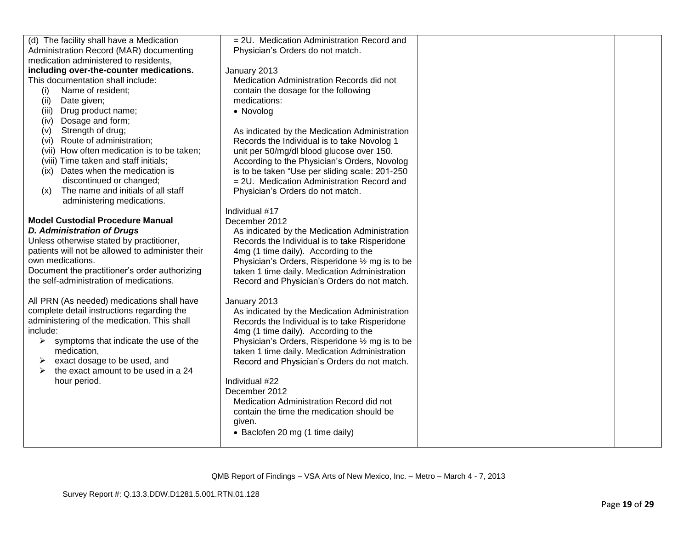| (d) The facility shall have a Medication                       | = 2U. Medication Administration Record and      |  |
|----------------------------------------------------------------|-------------------------------------------------|--|
| Administration Record (MAR) documenting                        | Physician's Orders do not match.                |  |
| medication administered to residents,                          |                                                 |  |
| including over-the-counter medications.                        | January 2013                                    |  |
| This documentation shall include:                              | Medication Administration Records did not       |  |
| Name of resident;<br>(i)                                       | contain the dosage for the following            |  |
| Date given;<br>(ii)                                            | medications:                                    |  |
| Drug product name;<br>(iii)                                    | • Novolog                                       |  |
| Dosage and form;<br>(iv)                                       |                                                 |  |
| Strength of drug;<br>(v)                                       | As indicated by the Medication Administration   |  |
| (vi) Route of administration;                                  | Records the Individual is to take Novolog 1     |  |
| (vii) How often medication is to be taken;                     | unit per 50/mg/dl blood glucose over 150.       |  |
| (viii) Time taken and staff initials;                          | According to the Physician's Orders, Novolog    |  |
| (ix) Dates when the medication is                              | is to be taken "Use per sliding scale: 201-250  |  |
| discontinued or changed;                                       | = 2U. Medication Administration Record and      |  |
| The name and initials of all staff<br>(x)                      | Physician's Orders do not match.                |  |
| administering medications.                                     |                                                 |  |
|                                                                | Individual #17                                  |  |
| <b>Model Custodial Procedure Manual</b>                        | December 2012                                   |  |
| <b>D. Administration of Drugs</b>                              | As indicated by the Medication Administration   |  |
| Unless otherwise stated by practitioner,                       | Records the Individual is to take Risperidone   |  |
| patients will not be allowed to administer their               | 4mg (1 time daily). According to the            |  |
| own medications.                                               | Physician's Orders, Risperidone 1/2 mg is to be |  |
| Document the practitioner's order authorizing                  | taken 1 time daily. Medication Administration   |  |
| the self-administration of medications.                        | Record and Physician's Orders do not match.     |  |
|                                                                |                                                 |  |
| All PRN (As needed) medications shall have                     | January 2013                                    |  |
| complete detail instructions regarding the                     | As indicated by the Medication Administration   |  |
| administering of the medication. This shall                    | Records the Individual is to take Risperidone   |  |
| include:                                                       | 4mg (1 time daily). According to the            |  |
| $\blacktriangleright$<br>symptoms that indicate the use of the | Physician's Orders, Risperidone 1/2 mg is to be |  |
| medication,                                                    | taken 1 time daily. Medication Administration   |  |
| exact dosage to be used, and<br>➤                              | Record and Physician's Orders do not match.     |  |
| the exact amount to be used in a 24<br>➤                       |                                                 |  |
| hour period.                                                   | Individual #22                                  |  |
|                                                                | December 2012                                   |  |
|                                                                | Medication Administration Record did not        |  |
|                                                                | contain the time the medication should be       |  |
|                                                                | given.                                          |  |
|                                                                | • Baclofen 20 mg (1 time daily)                 |  |
|                                                                |                                                 |  |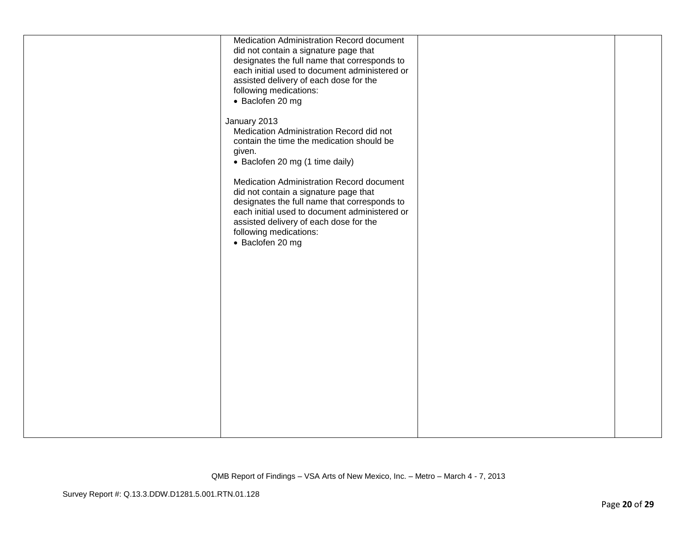| Medication Administration Record document<br>did not contain a signature page that<br>designates the full name that corresponds to<br>each initial used to document administered or<br>assisted delivery of each dose for the<br>following medications:<br>• Baclofen 20 mg |  |
|-----------------------------------------------------------------------------------------------------------------------------------------------------------------------------------------------------------------------------------------------------------------------------|--|
| January 2013<br>Medication Administration Record did not<br>contain the time the medication should be<br>given.<br>• Baclofen 20 mg (1 time daily)                                                                                                                          |  |
| Medication Administration Record document<br>did not contain a signature page that<br>designates the full name that corresponds to<br>each initial used to document administered or<br>assisted delivery of each dose for the<br>following medications:<br>• Baclofen 20 mg |  |
|                                                                                                                                                                                                                                                                             |  |
|                                                                                                                                                                                                                                                                             |  |
|                                                                                                                                                                                                                                                                             |  |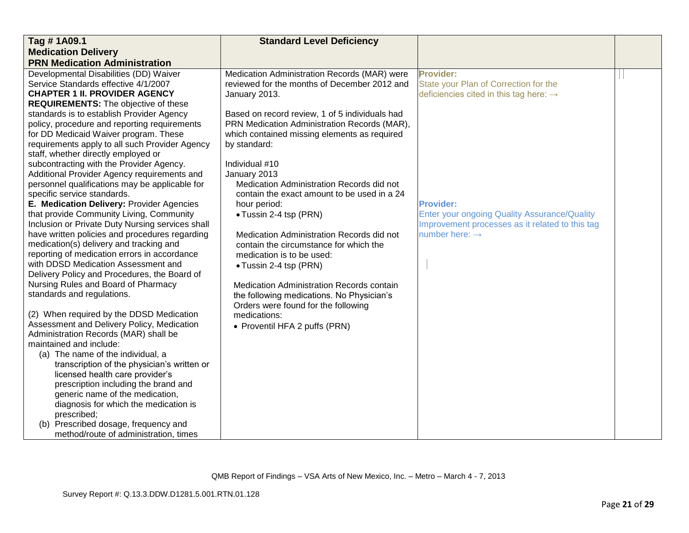| Tag #1A09.1                                                                                        | <b>Standard Level Deficiency</b>               |                                                                               |  |
|----------------------------------------------------------------------------------------------------|------------------------------------------------|-------------------------------------------------------------------------------|--|
| <b>Medication Delivery</b>                                                                         |                                                |                                                                               |  |
| <b>PRN Medication Administration</b>                                                               |                                                |                                                                               |  |
| Developmental Disabilities (DD) Waiver                                                             | Medication Administration Records (MAR) were   | <b>Provider:</b>                                                              |  |
| Service Standards effective 4/1/2007                                                               | reviewed for the months of December 2012 and   | State your Plan of Correction for the                                         |  |
| <b>CHAPTER 1 II. PROVIDER AGENCY</b>                                                               | January 2013.                                  | deficiencies cited in this tag here: $\rightarrow$                            |  |
| <b>REQUIREMENTS:</b> The objective of these                                                        |                                                |                                                                               |  |
| standards is to establish Provider Agency                                                          | Based on record review, 1 of 5 individuals had |                                                                               |  |
| policy, procedure and reporting requirements                                                       | PRN Medication Administration Records (MAR),   |                                                                               |  |
| for DD Medicaid Waiver program. These                                                              | which contained missing elements as required   |                                                                               |  |
| requirements apply to all such Provider Agency                                                     | by standard:                                   |                                                                               |  |
| staff, whether directly employed or                                                                |                                                |                                                                               |  |
| subcontracting with the Provider Agency.                                                           | Individual #10                                 |                                                                               |  |
| Additional Provider Agency requirements and                                                        | January 2013                                   |                                                                               |  |
| personnel qualifications may be applicable for                                                     | Medication Administration Records did not      |                                                                               |  |
| specific service standards.                                                                        | contain the exact amount to be used in a 24    |                                                                               |  |
| E. Medication Delivery: Provider Agencies                                                          | hour period:                                   | <b>Provider:</b>                                                              |  |
| that provide Community Living, Community                                                           | • Tussin 2-4 tsp (PRN)                         | <b>Enter your ongoing Quality Assurance/Quality</b>                           |  |
| Inclusion or Private Duty Nursing services shall<br>have written policies and procedures regarding | Medication Administration Records did not      | Improvement processes as it related to this tag<br>number here: $\rightarrow$ |  |
| medication(s) delivery and tracking and                                                            | contain the circumstance for which the         |                                                                               |  |
| reporting of medication errors in accordance                                                       | medication is to be used:                      |                                                                               |  |
| with DDSD Medication Assessment and                                                                |                                                |                                                                               |  |
| Delivery Policy and Procedures, the Board of                                                       | • Tussin 2-4 tsp (PRN)                         |                                                                               |  |
| Nursing Rules and Board of Pharmacy                                                                | Medication Administration Records contain      |                                                                               |  |
| standards and regulations.                                                                         | the following medications. No Physician's      |                                                                               |  |
|                                                                                                    | Orders were found for the following            |                                                                               |  |
| (2) When required by the DDSD Medication                                                           | medications:                                   |                                                                               |  |
| Assessment and Delivery Policy, Medication                                                         | • Proventil HFA 2 puffs (PRN)                  |                                                                               |  |
| Administration Records (MAR) shall be                                                              |                                                |                                                                               |  |
| maintained and include:                                                                            |                                                |                                                                               |  |
| (a) The name of the individual, a                                                                  |                                                |                                                                               |  |
| transcription of the physician's written or                                                        |                                                |                                                                               |  |
| licensed health care provider's                                                                    |                                                |                                                                               |  |
| prescription including the brand and                                                               |                                                |                                                                               |  |
| generic name of the medication,                                                                    |                                                |                                                                               |  |
| diagnosis for which the medication is                                                              |                                                |                                                                               |  |
| prescribed;                                                                                        |                                                |                                                                               |  |
| (b) Prescribed dosage, frequency and                                                               |                                                |                                                                               |  |
| method/route of administration, times                                                              |                                                |                                                                               |  |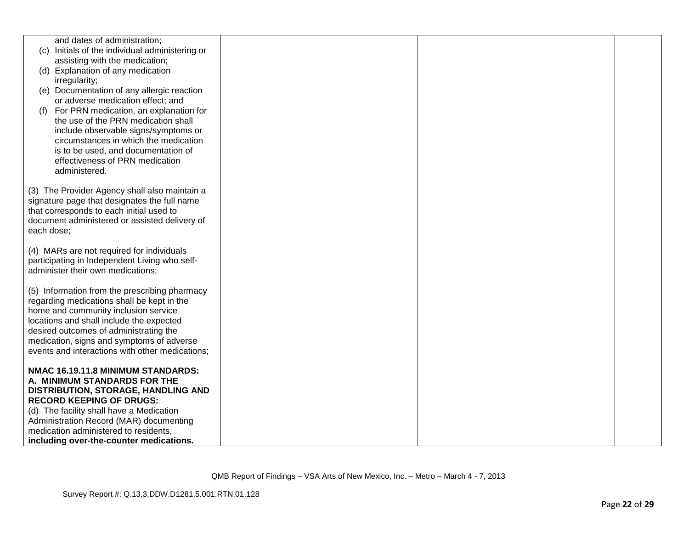| and dates of administration;                                        |  |  |
|---------------------------------------------------------------------|--|--|
| Initials of the individual administering or<br>(C)                  |  |  |
| assisting with the medication;<br>(d) Explanation of any medication |  |  |
| irregularity;                                                       |  |  |
| (e) Documentation of any allergic reaction                          |  |  |
| or adverse medication effect; and                                   |  |  |
| For PRN medication, an explanation for<br>(f)                       |  |  |
| the use of the PRN medication shall                                 |  |  |
| include observable signs/symptoms or                                |  |  |
| circumstances in which the medication                               |  |  |
| is to be used, and documentation of                                 |  |  |
| effectiveness of PRN medication                                     |  |  |
| administered.                                                       |  |  |
|                                                                     |  |  |
| (3) The Provider Agency shall also maintain a                       |  |  |
| signature page that designates the full name                        |  |  |
| that corresponds to each initial used to                            |  |  |
| document administered or assisted delivery of                       |  |  |
| each dose;                                                          |  |  |
| (4) MARs are not required for individuals                           |  |  |
| participating in Independent Living who self-                       |  |  |
| administer their own medications;                                   |  |  |
|                                                                     |  |  |
| (5) Information from the prescribing pharmacy                       |  |  |
| regarding medications shall be kept in the                          |  |  |
| home and community inclusion service                                |  |  |
| locations and shall include the expected                            |  |  |
| desired outcomes of administrating the                              |  |  |
| medication, signs and symptoms of adverse                           |  |  |
| events and interactions with other medications;                     |  |  |
|                                                                     |  |  |
| NMAC 16.19.11.8 MINIMUM STANDARDS:                                  |  |  |
| A. MINIMUM STANDARDS FOR THE<br>DISTRIBUTION, STORAGE, HANDLING AND |  |  |
| <b>RECORD KEEPING OF DRUGS:</b>                                     |  |  |
| (d) The facility shall have a Medication                            |  |  |
| Administration Record (MAR) documenting                             |  |  |
| medication administered to residents,                               |  |  |
| including over-the-counter medications.                             |  |  |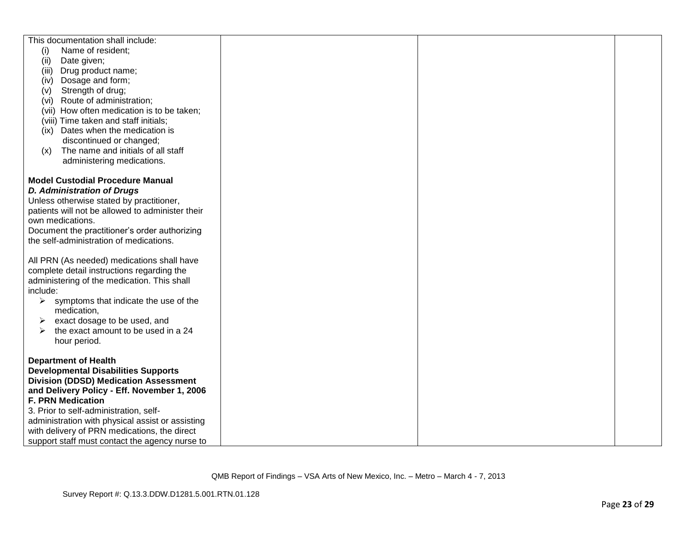| This documentation shall include:                       |  |  |
|---------------------------------------------------------|--|--|
| (i)<br>Name of resident;                                |  |  |
| Date given;<br>(ii)                                     |  |  |
| Drug product name;<br>(iii)                             |  |  |
| Dosage and form;<br>(iv)                                |  |  |
|                                                         |  |  |
| Strength of drug;<br>(V)                                |  |  |
| (vi) Route of administration;                           |  |  |
| (vii) How often medication is to be taken;              |  |  |
| (viii) Time taken and staff initials;                   |  |  |
| (ix) Dates when the medication is                       |  |  |
| discontinued or changed;                                |  |  |
| The name and initials of all staff<br>(x)               |  |  |
| administering medications.                              |  |  |
|                                                         |  |  |
| <b>Model Custodial Procedure Manual</b>                 |  |  |
| <b>D. Administration of Drugs</b>                       |  |  |
| Unless otherwise stated by practitioner,                |  |  |
| patients will not be allowed to administer their        |  |  |
| own medications.                                        |  |  |
| Document the practitioner's order authorizing           |  |  |
| the self-administration of medications.                 |  |  |
|                                                         |  |  |
| All PRN (As needed) medications shall have              |  |  |
| complete detail instructions regarding the              |  |  |
|                                                         |  |  |
| administering of the medication. This shall<br>include: |  |  |
|                                                         |  |  |
| $\triangleright$ symptoms that indicate the use of the  |  |  |
| medication,                                             |  |  |
| exact dosage to be used, and<br>➤                       |  |  |
| the exact amount to be used in a 24                     |  |  |
| hour period.                                            |  |  |
|                                                         |  |  |
| <b>Department of Health</b>                             |  |  |
| <b>Developmental Disabilities Supports</b>              |  |  |
| <b>Division (DDSD) Medication Assessment</b>            |  |  |
| and Delivery Policy - Eff. November 1, 2006             |  |  |
| <b>F. PRN Medication</b>                                |  |  |
| 3. Prior to self-administration, self-                  |  |  |
| administration with physical assist or assisting        |  |  |
| with delivery of PRN medications, the direct            |  |  |
| support staff must contact the agency nurse to          |  |  |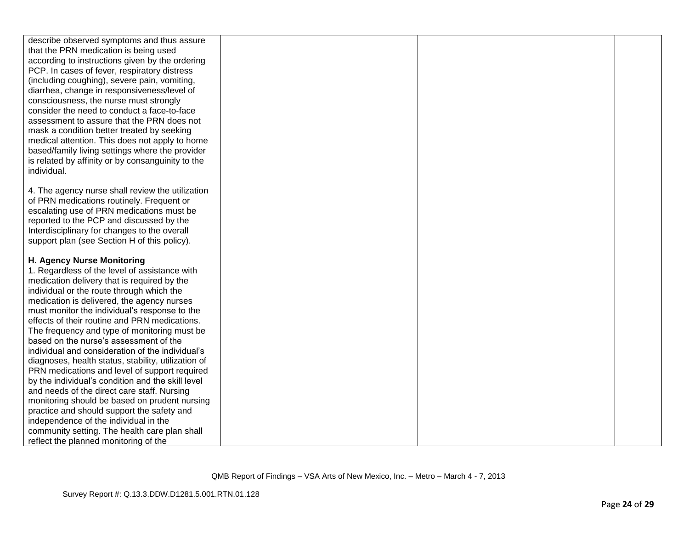| describe observed symptoms and thus assure          |  |  |
|-----------------------------------------------------|--|--|
| that the PRN medication is being used               |  |  |
| according to instructions given by the ordering     |  |  |
| PCP. In cases of fever, respiratory distress        |  |  |
| (including coughing), severe pain, vomiting,        |  |  |
| diarrhea, change in responsiveness/level of         |  |  |
| consciousness, the nurse must strongly              |  |  |
| consider the need to conduct a face-to-face         |  |  |
| assessment to assure that the PRN does not          |  |  |
| mask a condition better treated by seeking          |  |  |
| medical attention. This does not apply to home      |  |  |
| based/family living settings where the provider     |  |  |
| is related by affinity or by consanguinity to the   |  |  |
| individual.                                         |  |  |
|                                                     |  |  |
| 4. The agency nurse shall review the utilization    |  |  |
| of PRN medications routinely. Frequent or           |  |  |
| escalating use of PRN medications must be           |  |  |
| reported to the PCP and discussed by the            |  |  |
| Interdisciplinary for changes to the overall        |  |  |
| support plan (see Section H of this policy).        |  |  |
|                                                     |  |  |
| H. Agency Nurse Monitoring                          |  |  |
| 1. Regardless of the level of assistance with       |  |  |
| medication delivery that is required by the         |  |  |
| individual or the route through which the           |  |  |
| medication is delivered, the agency nurses          |  |  |
| must monitor the individual's response to the       |  |  |
| effects of their routine and PRN medications.       |  |  |
| The frequency and type of monitoring must be        |  |  |
| based on the nurse's assessment of the              |  |  |
| individual and consideration of the individual's    |  |  |
| diagnoses, health status, stability, utilization of |  |  |
| PRN medications and level of support required       |  |  |
| by the individual's condition and the skill level   |  |  |
| and needs of the direct care staff. Nursing         |  |  |
| monitoring should be based on prudent nursing       |  |  |
| practice and should support the safety and          |  |  |
| independence of the individual in the               |  |  |
| community setting. The health care plan shall       |  |  |
| reflect the planned monitoring of the               |  |  |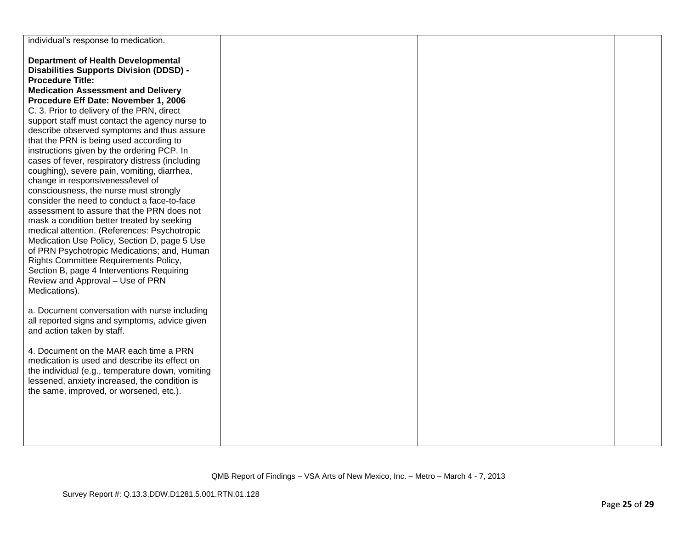| individual's response to medication.             |  |  |
|--------------------------------------------------|--|--|
|                                                  |  |  |
| <b>Department of Health Developmental</b>        |  |  |
| <b>Disabilities Supports Division (DDSD) -</b>   |  |  |
| <b>Procedure Title:</b>                          |  |  |
| <b>Medication Assessment and Delivery</b>        |  |  |
|                                                  |  |  |
| Procedure Eff Date: November 1, 2006             |  |  |
| C. 3. Prior to delivery of the PRN, direct       |  |  |
| support staff must contact the agency nurse to   |  |  |
| describe observed symptoms and thus assure       |  |  |
| that the PRN is being used according to          |  |  |
| instructions given by the ordering PCP. In       |  |  |
| cases of fever, respiratory distress (including  |  |  |
| coughing), severe pain, vomiting, diarrhea,      |  |  |
| change in responsiveness/level of                |  |  |
| consciousness, the nurse must strongly           |  |  |
| consider the need to conduct a face-to-face      |  |  |
| assessment to assure that the PRN does not       |  |  |
| mask a condition better treated by seeking       |  |  |
| medical attention. (References: Psychotropic     |  |  |
| Medication Use Policy, Section D, page 5 Use     |  |  |
| of PRN Psychotropic Medications; and, Human      |  |  |
| Rights Committee Requirements Policy,            |  |  |
| Section B, page 4 Interventions Requiring        |  |  |
| Review and Approval - Use of PRN                 |  |  |
| Medications).                                    |  |  |
|                                                  |  |  |
| a. Document conversation with nurse including    |  |  |
| all reported signs and symptoms, advice given    |  |  |
| and action taken by staff.                       |  |  |
|                                                  |  |  |
| 4. Document on the MAR each time a PRN           |  |  |
| medication is used and describe its effect on    |  |  |
| the individual (e.g., temperature down, vomiting |  |  |
| lessened, anxiety increased, the condition is    |  |  |
| the same, improved, or worsened, etc.).          |  |  |
|                                                  |  |  |
|                                                  |  |  |
|                                                  |  |  |
|                                                  |  |  |
|                                                  |  |  |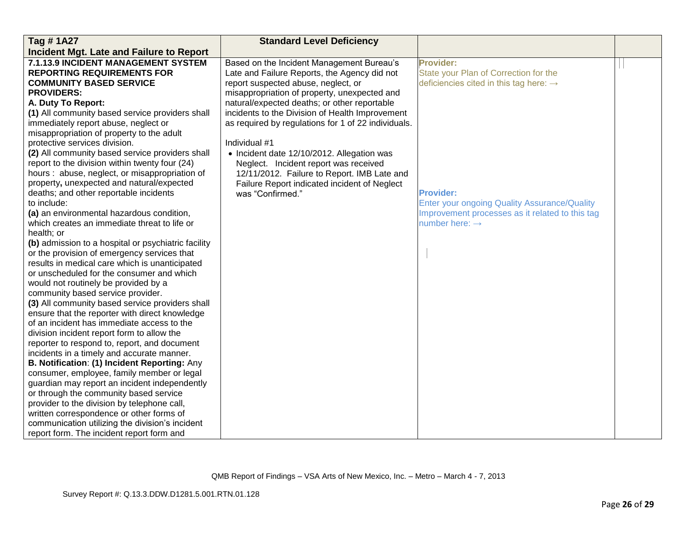| Tag #1A27                                           | <b>Standard Level Deficiency</b>                    |                                                     |  |
|-----------------------------------------------------|-----------------------------------------------------|-----------------------------------------------------|--|
| Incident Mgt. Late and Failure to Report            |                                                     |                                                     |  |
| 7.1.13.9 INCIDENT MANAGEMENT SYSTEM                 | Based on the Incident Management Bureau's           | <b>Provider:</b>                                    |  |
| <b>REPORTING REQUIREMENTS FOR</b>                   | Late and Failure Reports, the Agency did not        | State your Plan of Correction for the               |  |
| <b>COMMUNITY BASED SERVICE</b>                      | report suspected abuse, neglect, or                 | deficiencies cited in this tag here: $\rightarrow$  |  |
| <b>PROVIDERS:</b>                                   | misappropriation of property, unexpected and        |                                                     |  |
| A. Duty To Report:                                  | natural/expected deaths; or other reportable        |                                                     |  |
| (1) All community based service providers shall     | incidents to the Division of Health Improvement     |                                                     |  |
| immediately report abuse, neglect or                | as required by regulations for 1 of 22 individuals. |                                                     |  |
| misappropriation of property to the adult           |                                                     |                                                     |  |
| protective services division.                       | Individual #1                                       |                                                     |  |
| (2) All community based service providers shall     | • Incident date 12/10/2012. Allegation was          |                                                     |  |
| report to the division within twenty four (24)      | Neglect. Incident report was received               |                                                     |  |
| hours: abuse, neglect, or misappropriation of       | 12/11/2012. Failure to Report. IMB Late and         |                                                     |  |
| property, unexpected and natural/expected           | Failure Report indicated incident of Neglect        |                                                     |  |
| deaths; and other reportable incidents              | was "Confirmed."                                    | <b>Provider:</b>                                    |  |
| to include:                                         |                                                     | <b>Enter your ongoing Quality Assurance/Quality</b> |  |
| (a) an environmental hazardous condition,           |                                                     | Improvement processes as it related to this tag     |  |
| which creates an immediate threat to life or        |                                                     | number here: $\rightarrow$                          |  |
| health; or                                          |                                                     |                                                     |  |
| (b) admission to a hospital or psychiatric facility |                                                     |                                                     |  |
| or the provision of emergency services that         |                                                     |                                                     |  |
| results in medical care which is unanticipated      |                                                     |                                                     |  |
| or unscheduled for the consumer and which           |                                                     |                                                     |  |
| would not routinely be provided by a                |                                                     |                                                     |  |
| community based service provider.                   |                                                     |                                                     |  |
| (3) All community based service providers shall     |                                                     |                                                     |  |
| ensure that the reporter with direct knowledge      |                                                     |                                                     |  |
| of an incident has immediate access to the          |                                                     |                                                     |  |
| division incident report form to allow the          |                                                     |                                                     |  |
| reporter to respond to, report, and document        |                                                     |                                                     |  |
| incidents in a timely and accurate manner.          |                                                     |                                                     |  |
| B. Notification: (1) Incident Reporting: Any        |                                                     |                                                     |  |
| consumer, employee, family member or legal          |                                                     |                                                     |  |
| guardian may report an incident independently       |                                                     |                                                     |  |
| or through the community based service              |                                                     |                                                     |  |
| provider to the division by telephone call,         |                                                     |                                                     |  |
| written correspondence or other forms of            |                                                     |                                                     |  |
| communication utilizing the division's incident     |                                                     |                                                     |  |
| report form. The incident report form and           |                                                     |                                                     |  |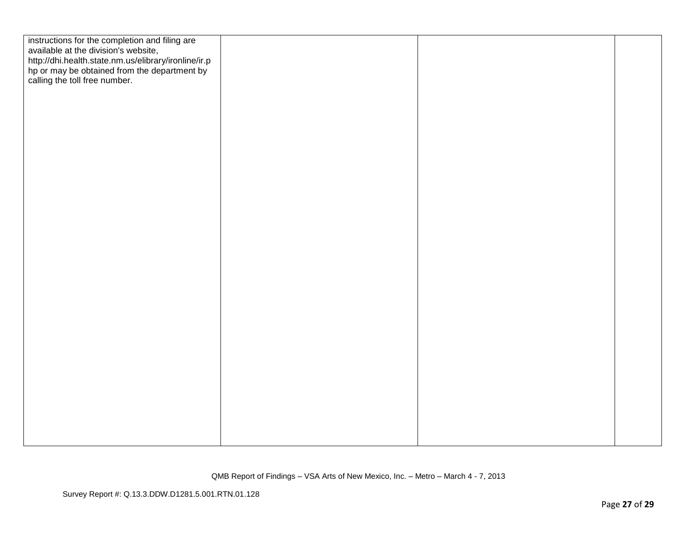| instructions for the completion and filing are<br>available at the division's website,                                                |  |  |
|---------------------------------------------------------------------------------------------------------------------------------------|--|--|
| http://dhi.health.state.nm.us/elibrary/ironline/ir.p<br>hp or may be obtained from the department by<br>calling the toll free number. |  |  |
|                                                                                                                                       |  |  |
|                                                                                                                                       |  |  |
|                                                                                                                                       |  |  |
|                                                                                                                                       |  |  |
|                                                                                                                                       |  |  |
|                                                                                                                                       |  |  |
|                                                                                                                                       |  |  |
|                                                                                                                                       |  |  |
|                                                                                                                                       |  |  |
|                                                                                                                                       |  |  |
|                                                                                                                                       |  |  |
|                                                                                                                                       |  |  |
|                                                                                                                                       |  |  |
|                                                                                                                                       |  |  |
|                                                                                                                                       |  |  |
|                                                                                                                                       |  |  |
|                                                                                                                                       |  |  |
|                                                                                                                                       |  |  |
|                                                                                                                                       |  |  |
|                                                                                                                                       |  |  |
|                                                                                                                                       |  |  |
|                                                                                                                                       |  |  |
|                                                                                                                                       |  |  |
|                                                                                                                                       |  |  |
|                                                                                                                                       |  |  |
|                                                                                                                                       |  |  |
|                                                                                                                                       |  |  |
|                                                                                                                                       |  |  |
|                                                                                                                                       |  |  |
|                                                                                                                                       |  |  |
|                                                                                                                                       |  |  |
|                                                                                                                                       |  |  |
|                                                                                                                                       |  |  |
|                                                                                                                                       |  |  |
|                                                                                                                                       |  |  |
|                                                                                                                                       |  |  |
|                                                                                                                                       |  |  |
|                                                                                                                                       |  |  |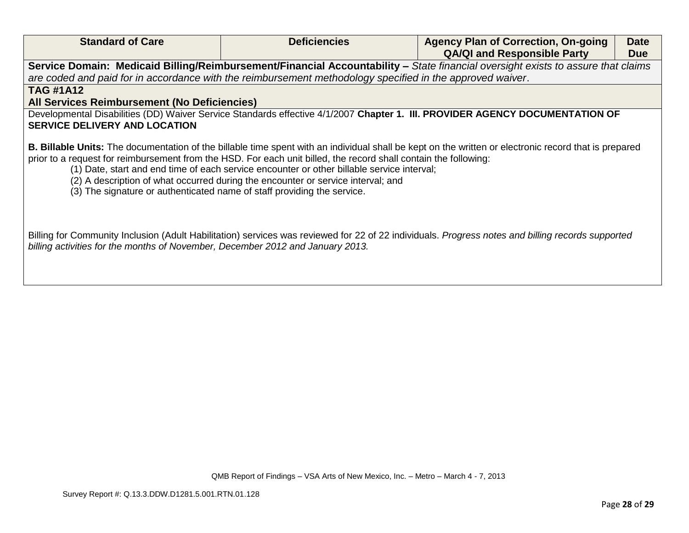| <b>Standard of Care</b>                                                                                                                                                                     | <b>Deficiencies</b>                                                                                                                                                            | <b>Agency Plan of Correction, On-going</b><br><b>QA/QI and Responsible Party</b>                                                                      | <b>Date</b><br><b>Due</b> |
|---------------------------------------------------------------------------------------------------------------------------------------------------------------------------------------------|--------------------------------------------------------------------------------------------------------------------------------------------------------------------------------|-------------------------------------------------------------------------------------------------------------------------------------------------------|---------------------------|
| are coded and paid for in accordance with the reimbursement methodology specified in the approved waiver.                                                                                   |                                                                                                                                                                                | Service Domain: Medicaid Billing/Reimbursement/Financial Accountability - State financial oversight exists to assure that claims                      |                           |
| <b>TAG #1A12</b><br>All Services Reimbursement (No Deficiencies)                                                                                                                            |                                                                                                                                                                                |                                                                                                                                                       |                           |
| <b>SERVICE DELIVERY AND LOCATION</b>                                                                                                                                                        |                                                                                                                                                                                | Developmental Disabilities (DD) Waiver Service Standards effective 4/1/2007 Chapter 1. III. PROVIDER AGENCY DOCUMENTATION OF                          |                           |
| prior to a request for reimbursement from the HSD. For each unit billed, the record shall contain the following:<br>(3) The signature or authenticated name of staff providing the service. | (1) Date, start and end time of each service encounter or other billable service interval;<br>(2) A description of what occurred during the encounter or service interval; and | B. Billable Units: The documentation of the billable time spent with an individual shall be kept on the written or electronic record that is prepared |                           |
| billing activities for the months of November, December 2012 and January 2013.                                                                                                              |                                                                                                                                                                                | Billing for Community Inclusion (Adult Habilitation) services was reviewed for 22 of 22 individuals. Progress notes and billing records supported     |                           |